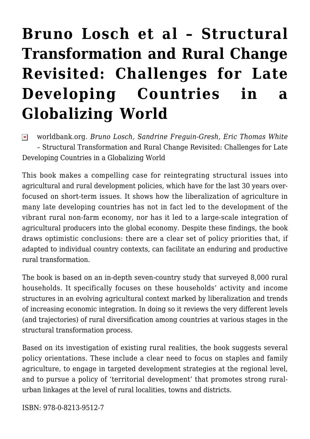## **[Bruno Losch et al – Structural](https://rozenbergquarterly.com/bruno-losch-et-al-structural-transformation-and-rural-change-revisited-challenges-for-late-developing-countries-in-a-globalizing-world/) [Transformation and Rural Change](https://rozenbergquarterly.com/bruno-losch-et-al-structural-transformation-and-rural-change-revisited-challenges-for-late-developing-countries-in-a-globalizing-world/) [Revisited: Challenges for Late](https://rozenbergquarterly.com/bruno-losch-et-al-structural-transformation-and-rural-change-revisited-challenges-for-late-developing-countries-in-a-globalizing-world/) [Developing Countries in a](https://rozenbergquarterly.com/bruno-losch-et-al-structural-transformation-and-rural-change-revisited-challenges-for-late-developing-countries-in-a-globalizing-world/) [Globalizing World](https://rozenbergquarterly.com/bruno-losch-et-al-structural-transformation-and-rural-change-revisited-challenges-for-late-developing-countries-in-a-globalizing-world/)**

worldbank.org. *Bruno Losch, Sandrine Freguin-Gresh, Eric Thomas White*  $\pmb{\times}$ – Structural Transformation and Rural Change Revisited: Challenges for Late Developing Countries in a Globalizing World

This book makes a compelling case for reintegrating structural issues into agricultural and rural development policies, which have for the last 30 years overfocused on short-term issues. It shows how the liberalization of agriculture in many late developing countries has not in fact led to the development of the vibrant rural non-farm economy, nor has it led to a large-scale integration of agricultural producers into the global economy. Despite these findings, the book draws optimistic conclusions: there are a clear set of policy priorities that, if adapted to individual country contexts, can facilitate an enduring and productive rural transformation.

The book is based on an in-depth seven-country study that surveyed 8,000 rural households. It specifically focuses on these households' activity and income structures in an evolving agricultural context marked by liberalization and trends of increasing economic integration. In doing so it reviews the very different levels (and trajectories) of rural diversification among countries at various stages in the structural transformation process.

Based on its investigation of existing rural realities, the book suggests several policy orientations. These include a clear need to focus on staples and family agriculture, to engage in targeted development strategies at the regional level, and to pursue a policy of 'territorial development' that promotes strong ruralurban linkages at the level of rural localities, towns and districts.

ISBN: 978-0-8213-9512-7